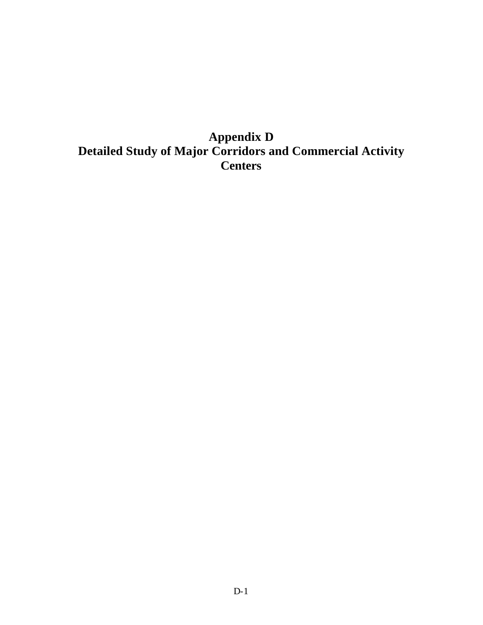# **Appendix D Detailed Study of Major Corridors and Commercial Activity Centers**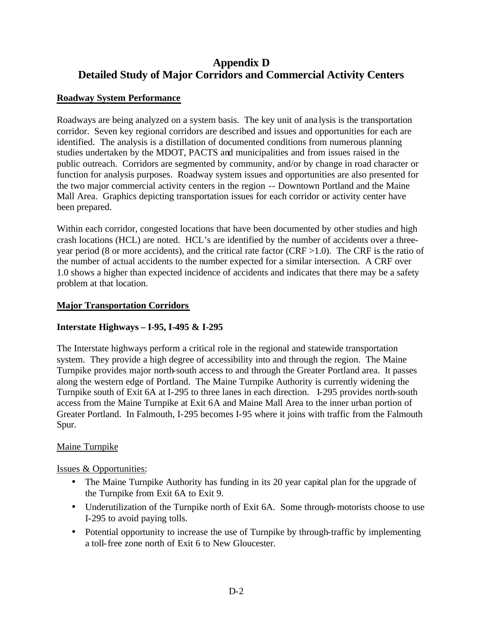## **Appendix D Detailed Study of Major Corridors and Commercial Activity Centers**

## **Roadway System Performance**

Roadways are being analyzed on a system basis. The key unit of ana lysis is the transportation corridor. Seven key regional corridors are described and issues and opportunities for each are identified. The analysis is a distillation of documented conditions from numerous planning studies undertaken by the MDOT, PACTS and municipalities and from issues raised in the public outreach. Corridors are segmented by community, and/or by change in road character or function for analysis purposes. Roadway system issues and opportunities are also presented for the two major commercial activity centers in the region -- Downtown Portland and the Maine Mall Area. Graphics depicting transportation issues for each corridor or activity center have been prepared.

Within each corridor, congested locations that have been documented by other studies and high crash locations (HCL) are noted. HCL's are identified by the number of accidents over a threeyear period (8 or more accidents), and the critical rate factor (CRF >1.0). The CRF is the ratio of the number of actual accidents to the number expected for a similar intersection. A CRF over 1.0 shows a higher than expected incidence of accidents and indicates that there may be a safety problem at that location.

## **Major Transportation Corridors**

## **Interstate Highways – I-95, I-495 & I-295**

The Interstate highways perform a critical role in the regional and statewide transportation system. They provide a high degree of accessibility into and through the region. The Maine Turnpike provides major north-south access to and through the Greater Portland area. It passes along the western edge of Portland. The Maine Turnpike Authority is currently widening the Turnpike south of Exit 6A at I-295 to three lanes in each direction. I-295 provides north-south access from the Maine Turnpike at Exit 6A and Maine Mall Area to the inner urban portion of Greater Portland. In Falmouth, I-295 becomes I-95 where it joins with traffic from the Falmouth Spur.

## Maine Turnpike

- The Maine Turnpike Authority has funding in its 20 year capital plan for the upgrade of the Turnpike from Exit 6A to Exit 9.
- Underutilization of the Turnpike north of Exit 6A. Some through-motorists choose to use I-295 to avoid paying tolls.
- Potential opportunity to increase the use of Turnpike by through-traffic by implementing a toll-free zone north of Exit 6 to New Gloucester.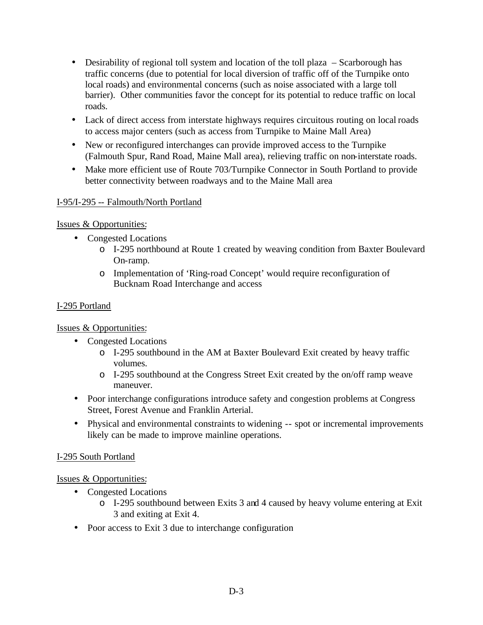- Desirability of regional toll system and location of the toll plaza Scarborough has traffic concerns (due to potential for local diversion of traffic off of the Turnpike onto local roads) and environmental concerns (such as noise associated with a large toll barrier). Other communities favor the concept for its potential to reduce traffic on local roads.
- Lack of direct access from interstate highways requires circuitous routing on local roads to access major centers (such as access from Turnpike to Maine Mall Area)
- New or reconfigured interchanges can provide improved access to the Turnpike (Falmouth Spur, Rand Road, Maine Mall area), relieving traffic on non-interstate roads.
- Make more efficient use of Route 703/Turnpike Connector in South Portland to provide better connectivity between roadways and to the Maine Mall area

## I-95/I-295 -- Falmouth/North Portland

## Issues & Opportunities:

- Congested Locations
	- o I-295 northbound at Route 1 created by weaving condition from Baxter Boulevard On-ramp.
	- o Implementation of 'Ring-road Concept' would require reconfiguration of Bucknam Road Interchange and access

## I-295 Portland

Issues & Opportunities:

- Congested Locations
	- o I-295 southbound in the AM at Baxter Boulevard Exit created by heavy traffic volumes.
	- o I-295 southbound at the Congress Street Exit created by the on/off ramp weave maneuver.
- Poor interchange configurations introduce safety and congestion problems at Congress Street, Forest Avenue and Franklin Arterial.
- Physical and environmental constraints to widening -- spot or incremental improvements likely can be made to improve mainline operations.

## I-295 South Portland

- Congested Locations
	- o I-295 southbound between Exits 3 and 4 caused by heavy volume entering at Exit 3 and exiting at Exit 4.
- Poor access to Exit 3 due to interchange configuration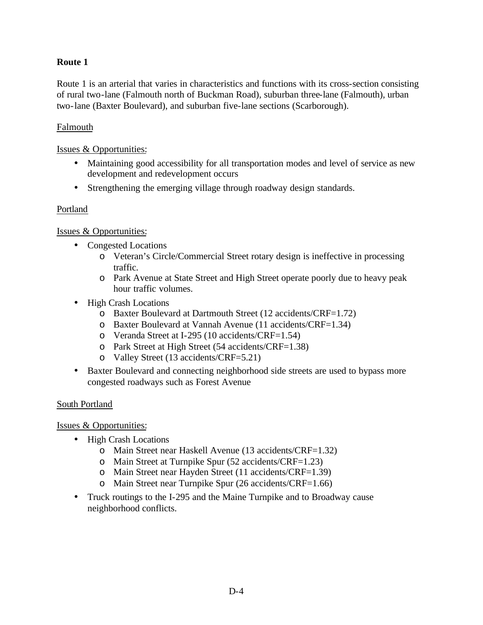## **Route 1**

Route 1 is an arterial that varies in characteristics and functions with its cross-section consisting of rural two-lane (Falmouth north of Buckman Road), suburban three-lane (Falmouth), urban two-lane (Baxter Boulevard), and suburban five-lane sections (Scarborough).

#### Falmouth

#### Issues & Opportunities:

- Maintaining good accessibility for all transportation modes and level of service as new development and redevelopment occurs
- Strengthening the emerging village through roadway design standards.

#### Portland

## Issues & Opportunities:

- Congested Locations
	- o Veteran's Circle/Commercial Street rotary design is ineffective in processing traffic.
	- o Park Avenue at State Street and High Street operate poorly due to heavy peak hour traffic volumes.
- High Crash Locations
	- o Baxter Boulevard at Dartmouth Street (12 accidents/CRF=1.72)
	- o Baxter Boulevard at Vannah Avenue (11 accidents/CRF=1.34)
	- o Veranda Street at I-295 (10 accidents/CRF=1.54)
	- o Park Street at High Street (54 accidents/CRF=1.38)
	- o Valley Street (13 accidents/CRF=5.21)
- Baxter Boulevard and connecting neighborhood side streets are used to bypass more congested roadways such as Forest Avenue

## South Portland

- High Crash Locations
	- o Main Street near Haskell Avenue (13 accidents/CRF=1.32)
	- o Main Street at Turnpike Spur (52 accidents/CRF=1.23)
	- o Main Street near Hayden Street (11 accidents/CRF=1.39)
	- o Main Street near Turnpike Spur (26 accidents/CRF=1.66)
- Truck routings to the I-295 and the Maine Turnpike and to Broadway cause neighborhood conflicts.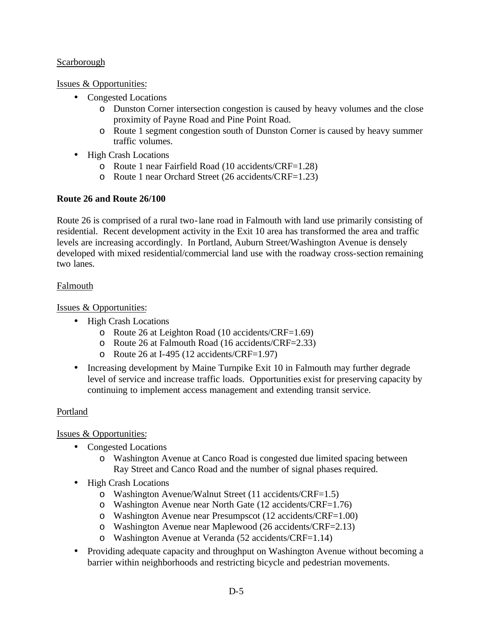#### Scarborough

Issues & Opportunities:

- Congested Locations
	- o Dunston Corner intersection congestion is caused by heavy volumes and the close proximity of Payne Road and Pine Point Road.
	- o Route 1 segment congestion south of Dunston Corner is caused by heavy summer traffic volumes.
- High Crash Locations
	- o Route 1 near Fairfield Road (10 accidents/CRF=1.28)
	- o Route 1 near Orchard Street (26 accidents/CRF=1.23)

## **Route 26 and Route 26/100**

Route 26 is comprised of a rural two-lane road in Falmouth with land use primarily consisting of residential. Recent development activity in the Exit 10 area has transformed the area and traffic levels are increasing accordingly. In Portland, Auburn Street/Washington Avenue is densely developed with mixed residential/commercial land use with the roadway cross-section remaining two lanes.

## Falmouth

Issues & Opportunities:

- High Crash Locations
	- o Route 26 at Leighton Road (10 accidents/CRF=1.69)
	- o Route 26 at Falmouth Road (16 accidents/CRF=2.33)
	- o Route 26 at I-495 (12 accidents/CRF=1.97)
- Increasing development by Maine Turnpike Exit 10 in Falmouth may further degrade level of service and increase traffic loads. Opportunities exist for preserving capacity by continuing to implement access management and extending transit service.

## Portland

- Congested Locations
	- o Washington Avenue at Canco Road is congested due limited spacing between Ray Street and Canco Road and the number of signal phases required.
- High Crash Locations
	- o Washington Avenue/Walnut Street (11 accidents/CRF=1.5)
	- o Washington Avenue near North Gate (12 accidents/CRF=1.76)
	- o Washington Avenue near Presumpscot (12 accidents/CRF=1.00)
	- o Washington Avenue near Maplewood (26 accidents/CRF=2.13)
	- o Washington Avenue at Veranda (52 accidents/CRF=1.14)
- Providing adequate capacity and throughput on Washington Avenue without becoming a barrier within neighborhoods and restricting bicycle and pedestrian movements.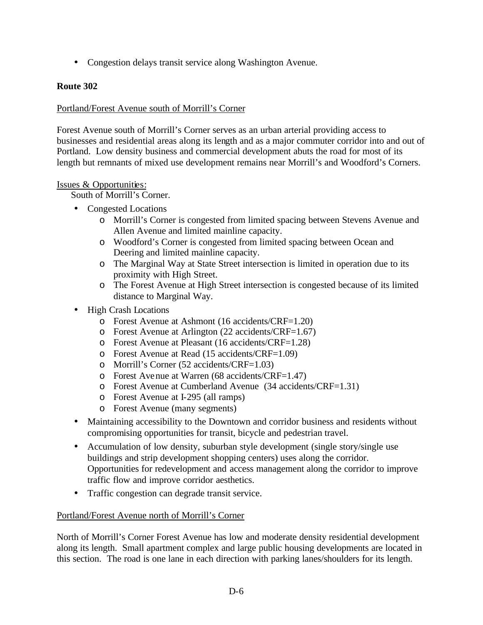• Congestion delays transit service along Washington Avenue.

#### **Route 302**

#### Portland/Forest Avenue south of Morrill's Corner

Forest Avenue south of Morrill's Corner serves as an urban arterial providing access to businesses and residential areas along its length and as a major commuter corridor into and out of Portland. Low density business and commercial development abuts the road for most of its length but remnants of mixed use development remains near Morrill's and Woodford's Corners.

#### Issues & Opportunities:

South of Morrill's Corner.

- Congested Locations
	- o Morrill's Corner is congested from limited spacing between Stevens Avenue and Allen Avenue and limited mainline capacity.
	- o Woodford's Corner is congested from limited spacing between Ocean and Deering and limited mainline capacity.
	- o The Marginal Way at State Street intersection is limited in operation due to its proximity with High Street.
	- o The Forest Avenue at High Street intersection is congested because of its limited distance to Marginal Way.
- High Crash Locations
	- o Forest Avenue at Ashmont (16 accidents/CRF=1.20)
	- o Forest Avenue at Arlington (22 accidents/CRF=1.67)
	- o Forest Avenue at Pleasant (16 accidents/CRF=1.28)
	- o Forest Avenue at Read (15 accidents/CRF=1.09)
	- o Morrill's Corner (52 accidents/CRF=1.03)
	- o Forest Avenue at Warren (68 accidents/CRF=1.47)
	- o Forest Avenue at Cumberland Avenue (34 accidents/CRF=1.31)
	- o Forest Avenue at I-295 (all ramps)
	- o Forest Avenue (many segments)
- Maintaining accessibility to the Downtown and corridor business and residents without compromising opportunities for transit, bicycle and pedestrian travel.
- Accumulation of low density, suburban style development (single story/single use buildings and strip development shopping centers) uses along the corridor. Opportunities for redevelopment and access management along the corridor to improve traffic flow and improve corridor aesthetics.
- Traffic congestion can degrade transit service.

#### Portland/Forest Avenue north of Morrill's Corner

North of Morrill's Corner Forest Avenue has low and moderate density residential development along its length. Small apartment complex and large public housing developments are located in this section. The road is one lane in each direction with parking lanes/shoulders for its length.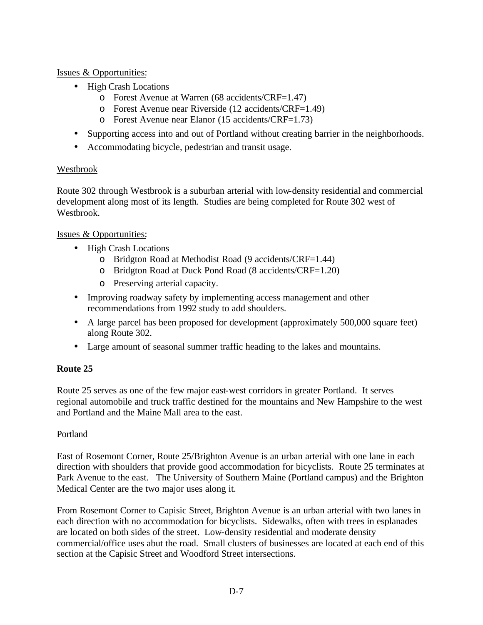#### Issues & Opportunities:

- High Crash Locations
	- o Forest Avenue at Warren (68 accidents/CRF=1.47)
	- o Forest Avenue near Riverside (12 accidents/CRF=1.49)
	- o Forest Avenue near Elanor (15 accidents/CRF=1.73)
- Supporting access into and out of Portland without creating barrier in the neighborhoods.
- Accommodating bicycle, pedestrian and transit usage.

## Westbrook

Route 302 through Westbrook is a suburban arterial with low-density residential and commercial development along most of its length. Studies are being completed for Route 302 west of Westbrook.

#### Issues & Opportunities:

- High Crash Locations
	- o Bridgton Road at Methodist Road (9 accidents/CRF=1.44)
	- o Bridgton Road at Duck Pond Road (8 accidents/CRF=1.20)
	- o Preserving arterial capacity.
- Improving roadway safety by implementing access management and other recommendations from 1992 study to add shoulders.
- A large parcel has been proposed for development (approximately 500,000 square feet) along Route 302.
- Large amount of seasonal summer traffic heading to the lakes and mountains.

## **Route 25**

Route 25 serves as one of the few major east-west corridors in greater Portland. It serves regional automobile and truck traffic destined for the mountains and New Hampshire to the west and Portland and the Maine Mall area to the east.

## Portland

East of Rosemont Corner, Route 25/Brighton Avenue is an urban arterial with one lane in each direction with shoulders that provide good accommodation for bicyclists. Route 25 terminates at Park Avenue to the east. The University of Southern Maine (Portland campus) and the Brighton Medical Center are the two major uses along it.

From Rosemont Corner to Capisic Street, Brighton Avenue is an urban arterial with two lanes in each direction with no accommodation for bicyclists. Sidewalks, often with trees in esplanades are located on both sides of the street. Low-density residential and moderate density commercial/office uses abut the road. Small clusters of businesses are located at each end of this section at the Capisic Street and Woodford Street intersections.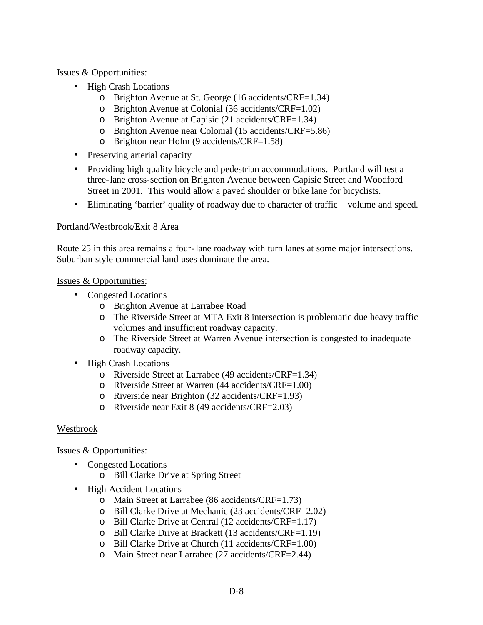#### Issues & Opportunities:

- High Crash Locations
	- o Brighton Avenue at St. George (16 accidents/CRF=1.34)
	- o Brighton Avenue at Colonial (36 accidents/CRF=1.02)
	- o Brighton Avenue at Capisic (21 accidents/CRF=1.34)
	- o Brighton Avenue near Colonial (15 accidents/CRF=5.86)
	- o Brighton near Holm (9 accidents/CRF=1.58)
- Preserving arterial capacity
- Providing high quality bicycle and pedestrian accommodations. Portland will test a three-lane cross-section on Brighton Avenue between Capisic Street and Woodford Street in 2001. This would allow a paved shoulder or bike lane for bicyclists.
- Eliminating 'barrier' quality of roadway due to character of traffic volume and speed.

#### Portland/Westbrook/Exit 8 Area

Route 25 in this area remains a four-lane roadway with turn lanes at some major intersections. Suburban style commercial land uses dominate the area.

#### Issues & Opportunities:

- Congested Locations
	- o Brighton Avenue at Larrabee Road
	- o The Riverside Street at MTA Exit 8 intersection is problematic due heavy traffic volumes and insufficient roadway capacity.
	- o The Riverside Street at Warren Avenue intersection is congested to inadequate roadway capacity.
- High Crash Locations
	- o Riverside Street at Larrabee (49 accidents/CRF=1.34)
	- o Riverside Street at Warren (44 accidents/CRF=1.00)
	- o Riverside near Brighton (32 accidents/CRF=1.93)
	- o Riverside near Exit 8 (49 accidents/CRF=2.03)

#### Westbrook

- Congested Locations
	- o Bill Clarke Drive at Spring Street
- High Accident Locations
	- o Main Street at Larrabee (86 accidents/CRF=1.73)
	- o Bill Clarke Drive at Mechanic (23 accidents/CRF=2.02)
	- o Bill Clarke Drive at Central (12 accidents/CRF=1.17)
	- o Bill Clarke Drive at Brackett (13 accidents/CRF=1.19)
	- o Bill Clarke Drive at Church (11 accidents/CRF=1.00)
	- o Main Street near Larrabee (27 accidents/CRF=2.44)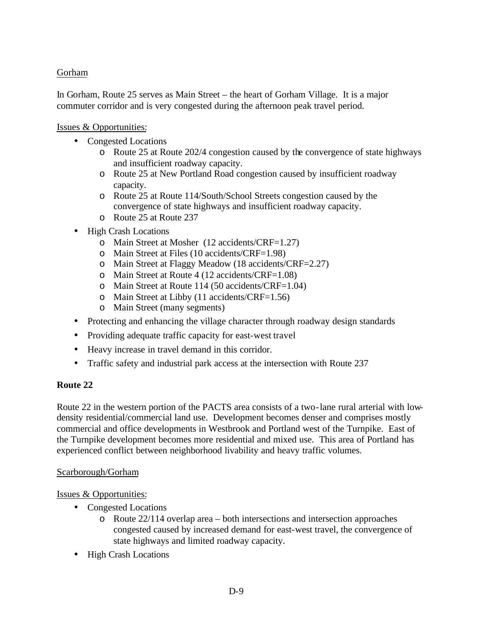## Gorham

In Gorham, Route 25 serves as Main Street – the heart of Gorham Village. It is a major commuter corridor and is very congested during the afternoon peak travel period.

## Issues & Opportunities:

- Congested Locations
	- o Route 25 at Route 202/4 congestion caused by the convergence of state highways and insufficient roadway capacity.
	- o Route 25 at New Portland Road congestion caused by insufficient roadway capacity.
	- o Route 25 at Route 114/South/School Streets congestion caused by the convergence of state highways and insufficient roadway capacity.
	- o Route 25 at Route 237
- High Crash Locations
	- o Main Street at Mosher (12 accidents/CRF=1.27)
	- o Main Street at Files (10 accidents/CRF=1.98)
	- o Main Street at Flaggy Meadow (18 accidents/CRF=2.27)
	- o Main Street at Route 4 (12 accidents/CRF=1.08)
	- o Main Street at Route 114 (50 accidents/CRF=1.04)
	- o Main Street at Libby (11 accidents/CRF=1.56)
	- o Main Street (many segments)
- Protecting and enhancing the village character through roadway design standards
- Providing adequate traffic capacity for east-west travel
- Heavy increase in travel demand in this corridor.
- Traffic safety and industrial park access at the intersection with Route 237

## **Route 22**

Route 22 in the western portion of the PACTS area consists of a two-lane rural arterial with lowdensity residential/commercial land use. Development becomes denser and comprises mostly commercial and office developments in Westbrook and Portland west of the Turnpike. East of the Turnpike development becomes more residential and mixed use. This area of Portland has experienced conflict between neighborhood livability and heavy traffic volumes.

## Scarborough/Gorham

- Congested Locations
	- $\circ$  Route 22/114 overlap area both intersections and intersection approaches congested caused by increased demand for east-west travel, the convergence of state highways and limited roadway capacity.
- High Crash Locations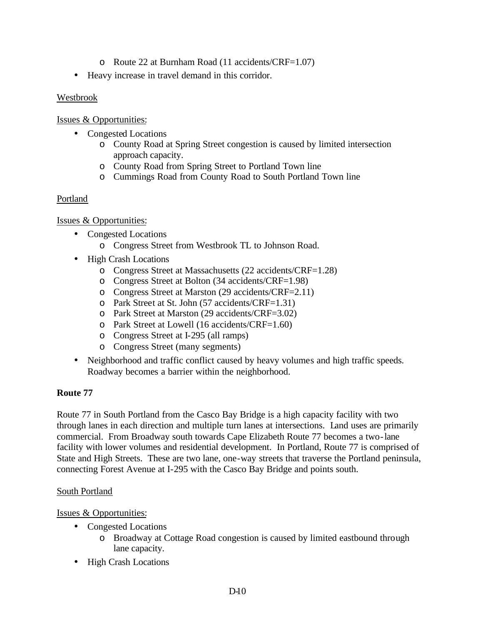- o Route 22 at Burnham Road (11 accidents/CRF=1.07)
- Heavy increase in travel demand in this corridor.

## Westbrook

Issues & Opportunities:

- Congested Locations
	- o County Road at Spring Street congestion is caused by limited intersection approach capacity.
	- o County Road from Spring Street to Portland Town line
	- o Cummings Road from County Road to South Portland Town line

## Portland

## Issues & Opportunities:

- Congested Locations
	- o Congress Street from Westbrook TL to Johnson Road.
- High Crash Locations
	- o Congress Street at Massachusetts (22 accidents/CRF=1.28)
	- o Congress Street at Bolton (34 accidents/CRF=1.98)
	- o Congress Street at Marston (29 accidents/CRF=2.11)
	- o Park Street at St. John (57 accidents/CRF=1.31)
	- o Park Street at Marston (29 accidents/CRF=3.02)
	- o Park Street at Lowell (16 accidents/CRF=1.60)
	- o Congress Street at I-295 (all ramps)
	- o Congress Street (many segments)
- Neighborhood and traffic conflict caused by heavy volumes and high traffic speeds. Roadway becomes a barrier within the neighborhood.

## **Route 77**

Route 77 in South Portland from the Casco Bay Bridge is a high capacity facility with two through lanes in each direction and multiple turn lanes at intersections. Land uses are primarily commercial. From Broadway south towards Cape Elizabeth Route 77 becomes a two-lane facility with lower volumes and residential development. In Portland, Route 77 is comprised of State and High Streets. These are two lane, one-way streets that traverse the Portland peninsula, connecting Forest Avenue at I-295 with the Casco Bay Bridge and points south.

## South Portland

- Congested Locations
	- o Broadway at Cottage Road congestion is caused by limited eastbound through lane capacity.
- High Crash Locations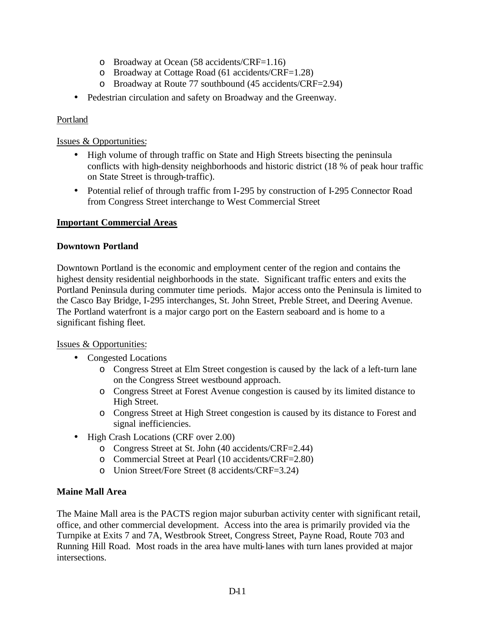- o Broadway at Ocean (58 accidents/CRF=1.16)
- o Broadway at Cottage Road (61 accidents/CRF=1.28)
- o Broadway at Route 77 southbound (45 accidents/CRF=2.94)
- Pedestrian circulation and safety on Broadway and the Greenway.

## Portland

#### Issues & Opportunities:

- High volume of through traffic on State and High Streets bisecting the peninsula conflicts with high-density neighborhoods and historic district (18 % of peak hour traffic on State Street is through-traffic).
- Potential relief of through traffic from I-295 by construction of I-295 Connector Road from Congress Street interchange to West Commercial Street

## **Important Commercial Areas**

#### **Downtown Portland**

Downtown Portland is the economic and employment center of the region and contains the highest density residential neighborhoods in the state. Significant traffic enters and exits the Portland Peninsula during commuter time periods. Major access onto the Peninsula is limited to the Casco Bay Bridge, I-295 interchanges, St. John Street, Preble Street, and Deering Avenue. The Portland waterfront is a major cargo port on the Eastern seaboard and is home to a significant fishing fleet.

#### Issues & Opportunities:

- Congested Locations
	- o Congress Street at Elm Street congestion is caused by the lack of a left-turn lane on the Congress Street westbound approach.
	- o Congress Street at Forest Avenue congestion is caused by its limited distance to High Street.
	- o Congress Street at High Street congestion is caused by its distance to Forest and signal inefficiencies.
- High Crash Locations (CRF over 2.00)
	- o Congress Street at St. John (40 accidents/CRF=2.44)
	- o Commercial Street at Pearl (10 accidents/CRF=2.80)
	- o Union Street/Fore Street (8 accidents/CRF=3.24)

## **Maine Mall Area**

The Maine Mall area is the PACTS region major suburban activity center with significant retail, office, and other commercial development. Access into the area is primarily provided via the Turnpike at Exits 7 and 7A, Westbrook Street, Congress Street, Payne Road, Route 703 and Running Hill Road. Most roads in the area have multi-lanes with turn lanes provided at major intersections.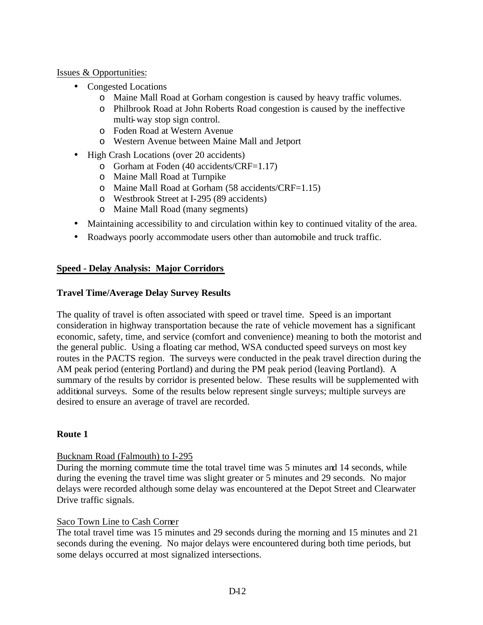#### Issues & Opportunities:

- Congested Locations
	- o Maine Mall Road at Gorham congestion is caused by heavy traffic volumes.
	- o Philbrook Road at John Roberts Road congestion is caused by the ineffective multi-way stop sign control.
	- o Foden Road at Western Avenue
	- o Western Avenue between Maine Mall and Jetport
- High Crash Locations (over 20 accidents)
	- o Gorham at Foden (40 accidents/CRF=1.17)
	- o Maine Mall Road at Turnpike
	- o Maine Mall Road at Gorham (58 accidents/CRF=1.15)
	- o Westbrook Street at I-295 (89 accidents)
	- o Maine Mall Road (many segments)
- Maintaining accessibility to and circulation within key to continued vitality of the area.
- Roadways poorly accommodate users other than automobile and truck traffic.

#### **Speed - Delay Analysis: Major Corridors**

#### **Travel Time/Average Delay Survey Results**

The quality of travel is often associated with speed or travel time. Speed is an important consideration in highway transportation because the rate of vehicle movement has a significant economic, safety, time, and service (comfort and convenience) meaning to both the motorist and the general public. Using a floating car method, WSA conducted speed surveys on most key routes in the PACTS region. The surveys were conducted in the peak travel direction during the AM peak period (entering Portland) and during the PM peak period (leaving Portland). A summary of the results by corridor is presented below. These results will be supplemented with additional surveys. Some of the results below represent single surveys; multiple surveys are desired to ensure an average of travel are recorded.

## **Route 1**

#### Bucknam Road (Falmouth) to I-295

During the morning commute time the total travel time was 5 minutes and 14 seconds, while during the evening the travel time was slight greater or 5 minutes and 29 seconds. No major delays were recorded although some delay was encountered at the Depot Street and Clearwater Drive traffic signals.

#### Saco Town Line to Cash Corner

The total travel time was 15 minutes and 29 seconds during the morning and 15 minutes and 21 seconds during the evening. No major delays were encountered during both time periods, but some delays occurred at most signalized intersections.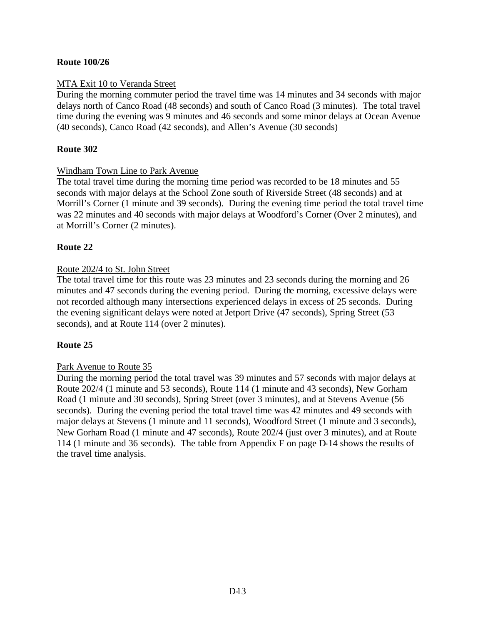#### **Route 100/26**

#### MTA Exit 10 to Veranda Street

During the morning commuter period the travel time was 14 minutes and 34 seconds with major delays north of Canco Road (48 seconds) and south of Canco Road (3 minutes). The total travel time during the evening was 9 minutes and 46 seconds and some minor delays at Ocean Avenue (40 seconds), Canco Road (42 seconds), and Allen's Avenue (30 seconds)

#### **Route 302**

#### Windham Town Line to Park Avenue

The total travel time during the morning time period was recorded to be 18 minutes and 55 seconds with major delays at the School Zone south of Riverside Street (48 seconds) and at Morrill's Corner (1 minute and 39 seconds). During the evening time period the total travel time was 22 minutes and 40 seconds with major delays at Woodford's Corner (Over 2 minutes), and at Morrill's Corner (2 minutes).

## **Route 22**

#### Route 202/4 to St. John Street

The total travel time for this route was 23 minutes and 23 seconds during the morning and 26 minutes and 47 seconds during the evening period. During the morning, excessive delays were not recorded although many intersections experienced delays in excess of 25 seconds. During the evening significant delays were noted at Jetport Drive (47 seconds), Spring Street (53 seconds), and at Route 114 (over 2 minutes).

## **Route 25**

#### Park Avenue to Route 35

During the morning period the total travel was 39 minutes and 57 seconds with major delays at Route 202/4 (1 minute and 53 seconds), Route 114 (1 minute and 43 seconds), New Gorham Road (1 minute and 30 seconds), Spring Street (over 3 minutes), and at Stevens Avenue (56 seconds). During the evening period the total travel time was 42 minutes and 49 seconds with major delays at Stevens (1 minute and 11 seconds), Woodford Street (1 minute and 3 seconds), New Gorham Road (1 minute and 47 seconds), Route 202/4 (just over 3 minutes), and at Route 114 (1 minute and 36 seconds). The table from Appendix F on page D-14 shows the results of the travel time analysis.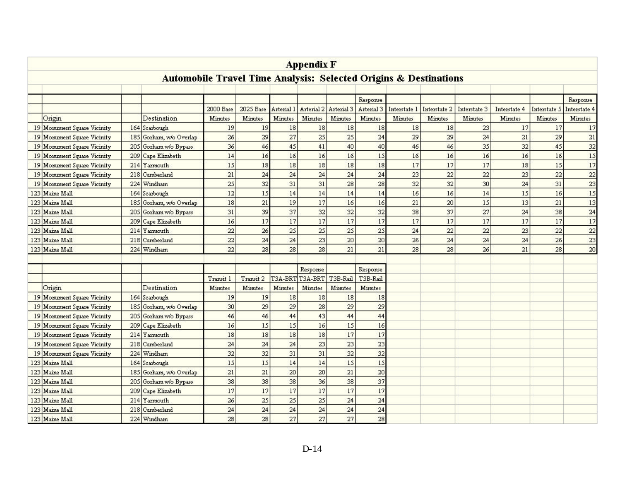| <b>Appendix F</b> |                                                                             |     |                         |                |                |                |                 |                |                |              |                |                |              |              |                |
|-------------------|-----------------------------------------------------------------------------|-----|-------------------------|----------------|----------------|----------------|-----------------|----------------|----------------|--------------|----------------|----------------|--------------|--------------|----------------|
|                   | <b>Automobile Travel Time Analysis: Selected Origins &amp; Destinations</b> |     |                         |                |                |                |                 |                |                |              |                |                |              |              |                |
|                   |                                                                             |     |                         |                |                |                |                 |                |                |              |                |                |              |              |                |
|                   |                                                                             |     |                         |                |                |                |                 |                | Response       |              |                |                |              |              | Response       |
|                   |                                                                             |     |                         | 2000 Base      | 2025 Base      | Arterial 1     | Arterial 2      | Arterial 3     | Arterial 3     | Interstate 1 | Interstate 2   | Interstate 3   | Interstate 4 | Interstate 5 | Interstate 4   |
|                   | Origin                                                                      |     | Destination             | Minutes        | <b>Minutes</b> | <b>Minutes</b> | Minutes         | <b>Minutes</b> | Minutes        | Minutes      | <b>Minutes</b> | <b>Mirutes</b> | Minutes      | Minutes      | <b>Minutes</b> |
|                   | 19 Monument Square Vicinity                                                 |     | 164 Scarbough           | 19             | 19             | 18             | 18              | 18             | 18             | 18           | 18             | 23             | 17           | 17           | 17             |
|                   | 19 Monument Square Vicinity                                                 | 185 | Gorham, w/o Overlap     | 26             | 29             | 27             | 25              | 25             | 24             | 29           | 29             | 24             | 21           | 29           | 21             |
|                   | 19 Monument Square Vicinity                                                 | 205 | Gorham w/o Bypass       | 36             | 46             | 45             | 41              | 40             | 40             | 46           | 46             | 35             | 32           | 45           | 32             |
|                   | 19 Monument Square Vicinity                                                 | 209 | Cape Elizabeth          | 14             | 16             | 16             | 16              | 16             | 15             | 16           | 16             | 16             | 16           | 16           | 15             |
|                   | 19 Monument Square Vicinity                                                 |     | 214 Yarmouth            | 15             | 18             | 18             | 18              | 18             | 18             | 17           | 17             | 17             | 18           | 15           | 17             |
|                   | 19 Monument Square Vicinity                                                 | 218 | Cumberland              | 21             | 24             | 24             | 24              | 24             | 24             | 23           | 22             | 22             | 23           | 22           | 22             |
|                   | 19 Monument Square Vicinity                                                 | 224 | Windham                 | 25             | 32             | 31             | 31              | 28             | 28             | 32           | 32             | 30             | 24           | 31           | 23             |
|                   | 123 Maine Mall                                                              |     | 164 Scarbough           | 12             | 15             | 14             | 14              | 14             | 14             | 16           | 16             | 14             | 15           | 16           | 15             |
|                   | 123 Maine Mall                                                              |     | 185 Gorham, w/o Overlap | 18             | 21             | 19             | 17              | 16             | 16             | 21           | 20             | 15             | 13           | 21           | 13             |
|                   | 123 Maine Mall                                                              |     | 205 Gorham w/o Bypass   | 31             | 39             | 37             | 32              | 32             | 32             | 38           | 37             | 27             | 24           | 38           | 24             |
|                   | 123 Maine Mall                                                              | 209 | Cape Elizabeth          | 16             | 17             | 17             | 17              | 17             | 17             | 17           | 17             | 17             | 17           | 17           | 17             |
|                   | 123 Maine Mall                                                              | 214 | Yarmouth                | 22             | 26             | 25             | 25              | 25             | 25             | 24           | 22             | 22             | 23           | 22           | 22             |
|                   | 123 Maine Mall                                                              | 218 | Cumberland              | 22             | 24             | 24             | 23              | 20             | 20             | 26           | 24             | 24             | 24           | 26           | 23             |
|                   | 123 Maine Mall                                                              |     | 224 Windham             | 22             | 28             | 28             | 28              | 21             | 21             | 28           | 28             | 26             | 21           | 28           | 20             |
|                   |                                                                             |     |                         |                |                |                |                 |                |                |              |                |                |              |              |                |
|                   |                                                                             |     |                         |                |                |                | Response        |                | Response       |              |                |                |              |              |                |
|                   |                                                                             |     |                         | Transit 1      | Transit 2      |                | T3A-BRT T3A-BRT | T3B-Rail       | T3B-Rail       |              |                |                |              |              |                |
|                   | Origin                                                                      |     | Destination             | <b>Minutes</b> | <b>Minutes</b> | <b>Minutes</b> | <b>Minutes</b>  | <b>Minutes</b> | <b>Minutes</b> |              |                |                |              |              |                |
|                   | 19 Momment Square Vicinity                                                  |     | 164 Scarbough           | 19             | 19             | 18             | 18              | 18             | 18             |              |                |                |              |              |                |
|                   | 19 Monument Square Vicinity                                                 |     | 185 Gorham, w/o Overlap | 30             | 29             | 29             | 28              | 29             | 29             |              |                |                |              |              |                |
|                   | 19 Monument Square Vicinity                                                 |     | 205 Gorham w/o Bypass   | 46             | 46             | 44             | 43              | 44             | 44             |              |                |                |              |              |                |
|                   | 19 Monument Square Vicinity                                                 |     | 209 Cape Elizabeth      | 16             | 15             | 15             | 16              | 15             | 16             |              |                |                |              |              |                |
|                   | 19 Momment Square Vicinity                                                  |     | 214 Yarmouth            | 18             | 18             | 18             | 18              | 17             | 17             |              |                |                |              |              |                |
|                   | 19 Monument Square Vicinity                                                 | 218 | Cumberland              | 24             | 24             | 24             | 23              | 23             | 23             |              |                |                |              |              |                |
|                   | 19 Monument Square Vicinity                                                 | 224 | Windham                 | 32             | 32             | 31             | 31              | 32             | 32             |              |                |                |              |              |                |
|                   | 123 Maine Mall                                                              | 164 | Scarbough               | 15             | 15             | 14             | 14              | 15             | 15             |              |                |                |              |              |                |
|                   | 123 Maine Mall                                                              | 185 | Gorham, w/o Overlap     | 21             | 21             | 20             | 20              | 21             | 20             |              |                |                |              |              |                |
|                   | 123 Maine Mall                                                              | 205 | Gorham w/o Bypass       | 38             | 38             | 38             | 36              | 38             | 37             |              |                |                |              |              |                |
|                   | 123 Maine Mall                                                              | 209 | Cape Elizabeth          | 17             | 17             | 17             | 17              | 17             | 17             |              |                |                |              |              |                |
|                   | 123 Maine Mall                                                              |     | 214 Yarmouth            | 26             | 25             | 25             | 25              | 24             | 24             |              |                |                |              |              |                |
|                   | 123 Maine Mall                                                              | 218 | Cumberland              | 24             | 24             | 24             | 24              | 24             | 24             |              |                |                |              |              |                |
|                   | 123 Maine Mall                                                              |     | 224 Windham             | 28             | 28             | 27             | 27              | 27             | 28             |              |                |                |              |              |                |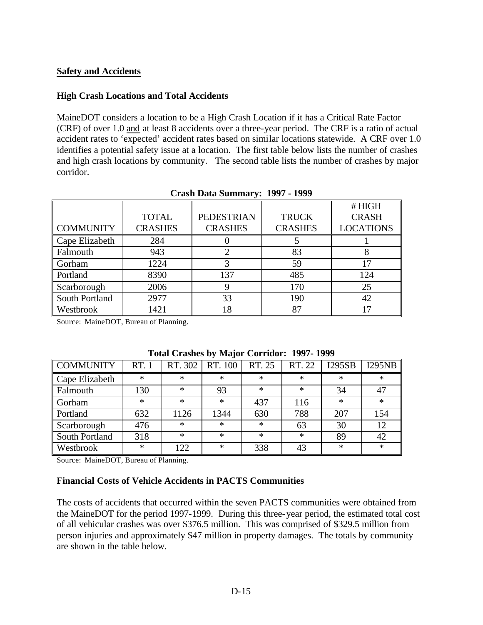#### **Safety and Accidents**

#### **High Crash Locations and Total Accidents**

MaineDOT considers a location to be a High Crash Location if it has a Critical Rate Factor (CRF) of over 1.0 and at least 8 accidents over a three-year period. The CRF is a ratio of actual accident rates to 'expected' accident rates based on similar locations statewide. A CRF over 1.0 identifies a potential safety issue at a location. The first table below lists the number of crashes and high crash locations by community. The second table lists the number of crashes by major corridor.

|                  |                |                   |                | #HIGH            |
|------------------|----------------|-------------------|----------------|------------------|
|                  | <b>TOTAL</b>   | <b>PEDESTRIAN</b> | <b>TRUCK</b>   | <b>CRASH</b>     |
| <b>COMMUNITY</b> | <b>CRASHES</b> | <b>CRASHES</b>    | <b>CRASHES</b> | <b>LOCATIONS</b> |
| Cape Elizabeth   | 284            |                   |                |                  |
| Falmouth         | 943            |                   | 83             |                  |
| Gorham           | 1224           |                   | 59             | 17               |
| Portland         | 8390           | 137               | 485            | 124              |
| Scarborough      | 2006           | 9                 | 170            | 25               |
| South Portland   | 2977           | 33                | 190            | 42               |
| Westbrook        | 1421           | 18                | 87             | 17               |

**Crash Data Summary: 1997 - 1999**

Source: MaineDOT, Bureau of Planning.

| <b>COMMUNITY</b> | RT. 1  | RT. 302 | RT. 100 | RT. 25 | RT. 22 | <b>I295SB</b> | I295NB |
|------------------|--------|---------|---------|--------|--------|---------------|--------|
| Cape Elizabeth   | $\ast$ | $\ast$  | $\ast$  | $\ast$ | $\ast$ | $\ast$        | $\ast$ |
| Falmouth         | 130    | $\ast$  | 93      | $\ast$ | $\ast$ | 34            | 47     |
| Gorham           | $\ast$ | $\ast$  | $\ast$  | 437    | 116    | $\ast$        | $\ast$ |
| Portland         | 632    | 1126    | 1344    | 630    | 788    | 207           | 154    |
| Scarborough      | 476    | $\ast$  | $\ast$  | $\ast$ | 63     | 30            | 12     |
| South Portland   | 318    | $\ast$  | $\ast$  | $\ast$ | $\ast$ | 89            | 42     |
| Westbrook        | $\ast$ | 122     | $\ast$  | 338    | 43     | $\ast$        | $\ast$ |

**Total Crashes by Major Corridor: 1997- 1999**

Source: MaineDOT, Bureau of Planning.

#### **Financial Costs of Vehicle Accidents in PACTS Communities**

The costs of accidents that occurred within the seven PACTS communities were obtained from the MaineDOT for the period 1997-1999. During this three-year period, the estimated total cost of all vehicular crashes was over \$376.5 million. This was comprised of \$329.5 million from person injuries and approximately \$47 million in property damages. The totals by community are shown in the table below.